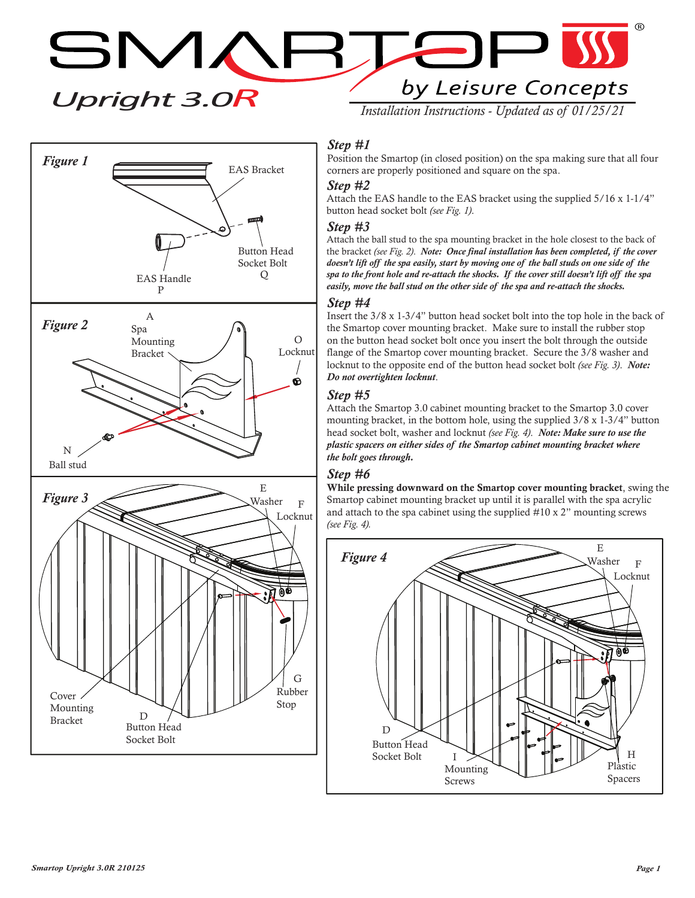*Upright 3.0R*

Figure 1 EAS Bracket

EAS Handle

P

by Leisure Concepts

 $\Gamma$ 

*Installation Instructions - Updated as of 01/25/21*

 $\overline{\phantom{a}}$ 

# *Step #1*

Position the Smartop (in closed position) on the spa making sure that all four corners are properly positioned and square on the spa.

#### *Step #2*

Attach the EAS handle to the EAS bracket using the supplied 5/16 x 1-1/4" button head socket bolt *(see Fig. 1)*.

#### *Step #3*

Button Head Socket Bolt

Q

Attach the ball stud to the spa mounting bracket in the hole closest to the back of the bracket *(see Fig. 2)*. *Note: Once final installation has been completed, if the cover doesn't lift off the spa easily, start by moving one of the ball studs on one side of the spa to the front hole and re-attach the shocks. If the cover still doesn't lift off the spa easily, move the ball stud on the other side of the spa and re-attach the shocks.*

#### *Step #4*

Insert the 3/8 x 1-3/4" button head socket bolt into the top hole in the back of the Smartop cover mounting bracket. Make sure to install the rubber stop on the button head socket bolt once you insert the bolt through the outside flange of the Smartop cover mounting bracket. Secure the 3/8 washer and locknut to the opposite end of the button head socket bolt *(see Fig. 3)*. *Note: Do not overtighten locknut*.

### *Step #5*

Attach the Smartop 3.0 cabinet mounting bracket to the Smartop 3.0 cover mounting bracket, in the bottom hole, using the supplied 3/8 x 1-3/4" button head socket bolt, washer and locknut *(see Fig. 4)*. *Note: Make sure to use the plastic spacers on either sides of the Smartop cabinet mounting bracket where the bolt goes through.*

#### *Step #6*

While pressing downward on the Smartop cover mounting bracket, swing the Smartop cabinet mounting bracket up until it is parallel with the spa acrylic and attach to the spa cabinet using the supplied #10 x 2" mounting screws *(see Fig. 4).*





Button Head Socket Bolt

D

Bracket